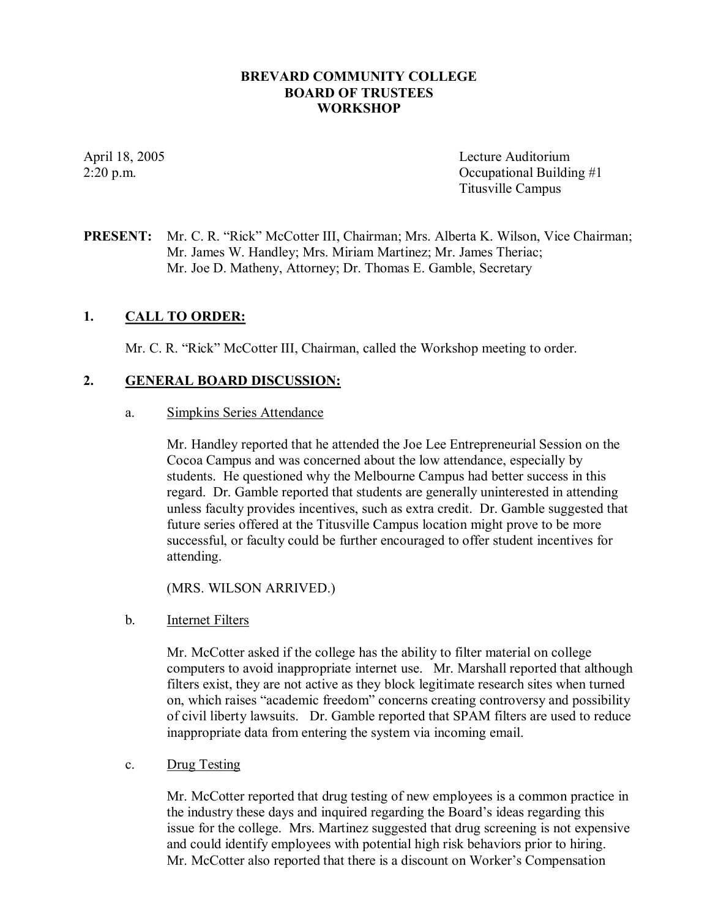### **BREVARD COMMUNITY COLLEGE BOARD OF TRUSTEES WORKSHOP**

April 18, 2005 Lecture Auditorium  $2:20 \text{ p.m.}$  Occupational Building  $\#1$ Titusville Campus

## **PRESENT:** Mr. C. R. "Rick" McCotter III, Chairman; Mrs. Alberta K. Wilson, Vice Chairman; Mr. James W. Handley; Mrs. Miriam Martinez; Mr. James Theriac; Mr. Joe D. Matheny, Attorney; Dr. Thomas E. Gamble, Secretary

## **1. CALL TO ORDER:**

Mr. C. R. "Rick" McCotter III, Chairman, called the Workshop meeting to order.

### **2. GENERAL BOARD DISCUSSION:**

a. Simpkins Series Attendance

Mr. Handley reported that he attended the Joe Lee Entrepreneurial Session on the Cocoa Campus and was concerned about the low attendance, especially by students. He questioned why the Melbourne Campus had better success in this regard. Dr. Gamble reported that students are generally uninterested in attending unless faculty provides incentives, such as extra credit. Dr. Gamble suggested that future series offered at the Titusville Campus location might prove to be more successful, or faculty could be further encouraged to offer student incentives for attending.

(MRS. WILSON ARRIVED.)

#### b. Internet Filters

Mr. McCotter asked if the college has the ability to filter material on college computers to avoid inappropriate internet use. Mr. Marshall reported that although filters exist, they are not active as they block legitimate research sites when turned on, which raises "academic freedom" concerns creating controversy and possibility of civil liberty lawsuits. Dr. Gamble reported that SPAM filters are used to reduce inappropriate data from entering the system via incoming email.

c. Drug Testing

Mr. McCotter reported that drug testing of new employees is a common practice in the industry these days and inquired regarding the Board's ideas regarding this issue for the college. Mrs. Martinez suggested that drug screening is not expensive and could identify employees with potential high risk behaviors prior to hiring. Mr. McCotter also reported that there is a discount on Worker's Compensation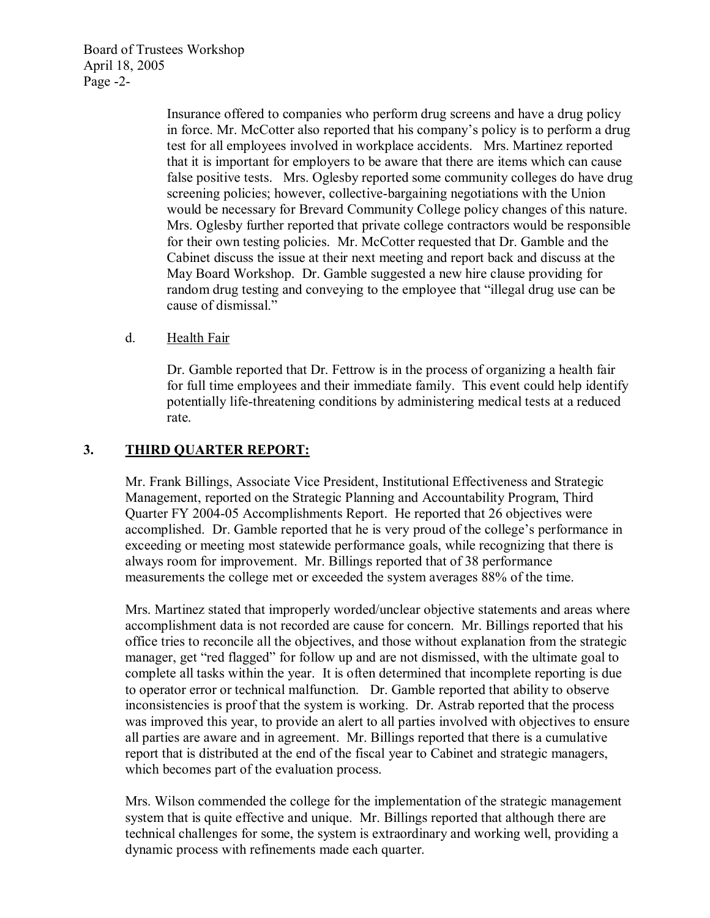Board of Trustees Workshop April 18, 2005 Page  $-2$ -

> Insurance offered to companies who perform drug screens and have a drug policy in force. Mr. McCotter also reported that his company's policy is to perform a drug test for all employees involved in workplace accidents. Mrs. Martinez reported that it is important for employers to be aware that there are items which can cause false positive tests. Mrs. Oglesby reported some community colleges do have drug screening policies; however, collective-bargaining negotiations with the Union would be necessary for Brevard Community College policy changes of this nature. Mrs. Oglesby further reported that private college contractors would be responsible for their own testing policies. Mr. McCotter requested that Dr. Gamble and the Cabinet discuss the issue at their next meeting and report back and discuss at the May Board Workshop. Dr. Gamble suggested a new hire clause providing for random drug testing and conveying to the employee that "illegal drug use can be cause of dismissal."

## d. Health Fair

Dr. Gamble reported that Dr. Fettrow is in the process of organizing a health fair for full time employees and their immediate family. This event could help identify potentially life-threatening conditions by administering medical tests at a reduced rate.

## **3. THIRD QUARTER REPORT:**

Mr. Frank Billings, Associate Vice President, Institutional Effectiveness and Strategic Management, reported on the Strategic Planning and Accountability Program, Third Quarter FY 2004-05 Accomplishments Report. He reported that 26 objectives were accomplished. Dr. Gamble reported that he is very proud of the college's performance in exceeding or meeting most statewide performance goals, while recognizing that there is always room for improvement. Mr. Billings reported that of 38 performance measurements the college met or exceeded the system averages 88% of the time.

Mrs. Martinez stated that improperly worded/unclear objective statements and areas where accomplishment data is not recorded are cause for concern. Mr. Billings reported that his office tries to reconcile all the objectives, and those without explanation from the strategic manager, get "red flagged" for follow up and are not dismissed, with the ultimate goal to complete all tasks within the year. It is often determined that incomplete reporting is due to operator error or technical malfunction. Dr. Gamble reported that ability to observe inconsistencies is proof that the system is working. Dr. Astrab reported that the process was improved this year, to provide an alert to all parties involved with objectives to ensure all parties are aware and in agreement. Mr. Billings reported that there is a cumulative report that is distributed at the end of the fiscal year to Cabinet and strategic managers, which becomes part of the evaluation process.

Mrs. Wilson commended the college for the implementation of the strategic management system that is quite effective and unique. Mr. Billings reported that although there are technical challenges for some, the system is extraordinary and working well, providing a dynamic process with refinements made each quarter.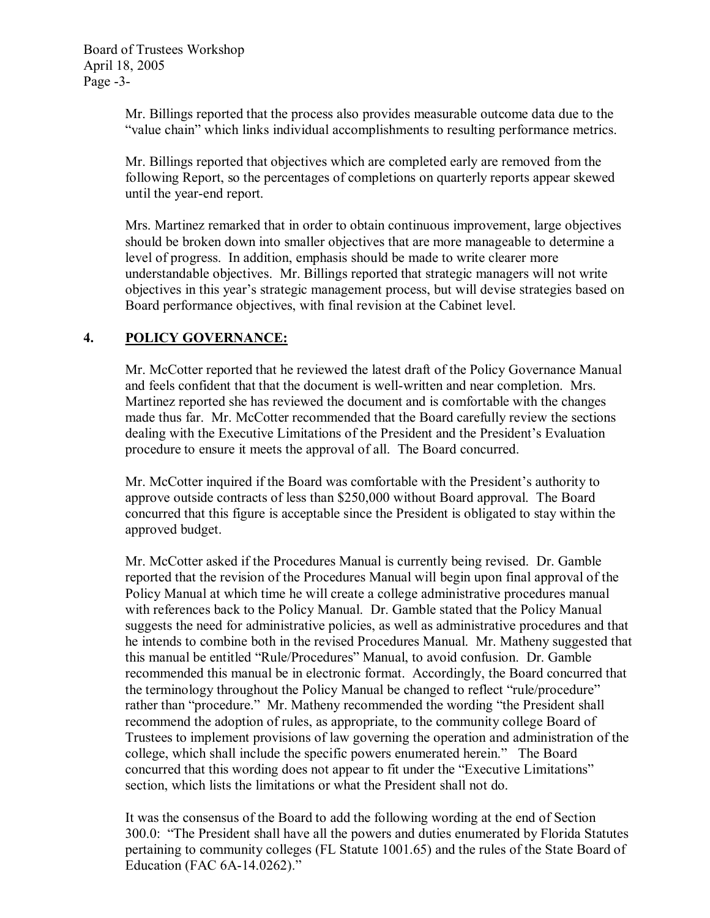Mr. Billings reported that the process also provides measurable outcome data due to the "value chain" which links individual accomplishments to resulting performance metrics.

Mr. Billings reported that objectives which are completed early are removed from the following Report, so the percentages of completions on quarterly reports appear skewed until the year-end report.

Mrs. Martinez remarked that in order to obtain continuous improvement, large objectives should be broken down into smaller objectives that are more manageable to determine a level of progress. In addition, emphasis should be made to write clearer more understandable objectives. Mr. Billings reported that strategic managers will not write objectives in this year's strategic management process, but will devise strategies based on Board performance objectives, with final revision at the Cabinet level.

# **4. POLICY GOVERNANCE:**

Mr. McCotter reported that he reviewed the latest draft of the Policy Governance Manual and feels confident that that the document is well-written and near completion. Mrs. Martinez reported she has reviewed the document and is comfortable with the changes made thus far. Mr. McCotter recommended that the Board carefully review the sections dealing with the Executive Limitations of the President and the President's Evaluation procedure to ensure it meets the approval of all. The Board concurred.

Mr. McCotter inquired if the Board was comfortable with the President's authority to approve outside contracts of less than \$250,000 without Board approval. The Board concurred that this figure is acceptable since the President is obligated to stay within the approved budget.

Mr. McCotter asked if the Procedures Manual is currently being revised. Dr. Gamble reported that the revision of the Procedures Manual will begin upon final approval of the Policy Manual at which time he will create a college administrative procedures manual with references back to the Policy Manual. Dr. Gamble stated that the Policy Manual suggests the need for administrative policies, as well as administrative procedures and that he intends to combine both in the revised Procedures Manual. Mr. Matheny suggested that this manual be entitled "Rule/Procedures" Manual, to avoid confusion. Dr. Gamble recommended this manual be in electronic format. Accordingly, the Board concurred that the terminology throughout the Policy Manual be changed to reflect "rule/procedure" rather than "procedure." Mr. Matheny recommended the wording "the President shall recommend the adoption of rules, as appropriate, to the community college Board of Trustees to implement provisions of law governing the operation and administration of the college, which shall include the specific powers enumerated herein." The Board concurred that this wording does not appear to fit under the "Executive Limitations" section, which lists the limitations or what the President shall not do.

It was the consensus of the Board to add the following wording at the end of Section 300.0: "The President shall have all the powers and duties enumerated by Florida Statutes pertaining to community colleges (FL Statute 1001.65) and the rules of the State Board of Education (FAC 6A-14.0262)."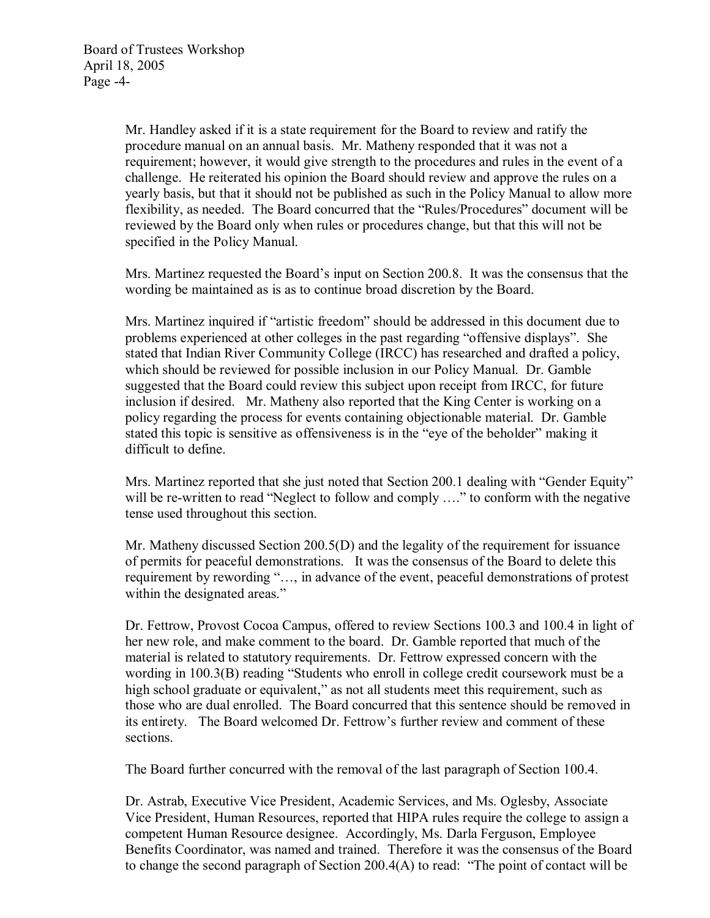Mr. Handley asked if it is a state requirement for the Board to review and ratify the procedure manual on an annual basis. Mr. Matheny responded that it was not a requirement; however, it would give strength to the procedures and rules in the event of a challenge. He reiterated his opinion the Board should review and approve the rules on a yearly basis, but that it should not be published as such in the Policy Manual to allow more flexibility, as needed. The Board concurred that the "Rules/Procedures" document will be reviewed by the Board only when rules or procedures change, but that this will not be specified in the Policy Manual.

Mrs. Martinez requested the Board's input on Section 200.8. It was the consensus that the wording be maintained as is as to continue broad discretion by the Board.

Mrs. Martinez inquired if "artistic freedom" should be addressed in this document due to problems experienced at other colleges in the past regarding "offensive displays". She stated that Indian River Community College (IRCC) has researched and drafted a policy, which should be reviewed for possible inclusion in our Policy Manual. Dr. Gamble suggested that the Board could review this subject upon receipt from IRCC, for future inclusion if desired. Mr. Matheny also reported that the King Center is working on a policy regarding the process for events containing objectionable material. Dr. Gamble stated this topic is sensitive as offensiveness is in the "eye of the beholder" making it difficult to define.

Mrs. Martinez reported that she just noted that Section 200.1 dealing with "Gender Equity" will be re-written to read "Neglect to follow and comply ...." to conform with the negative tense used throughout this section.

Mr. Matheny discussed Section 200.5(D) and the legality of the requirement for issuance of permits for peaceful demonstrations. It was the consensus of the Board to delete this requirement by rewording "…, in advance of the event, peaceful demonstrations of protest within the designated areas."

Dr. Fettrow, Provost Cocoa Campus, offered to review Sections 100.3 and 100.4 in light of her new role, and make comment to the board. Dr. Gamble reported that much of the material is related to statutory requirements. Dr. Fettrow expressed concern with the wording in 100.3(B) reading "Students who enroll in college credit coursework must be a high school graduate or equivalent," as not all students meet this requirement, such as those who are dual enrolled. The Board concurred that this sentence should be removed in its entirety. The Board welcomed Dr. Fettrow's further review and comment of these sections.

The Board further concurred with the removal of the last paragraph of Section 100.4.

Dr. Astrab, Executive Vice President, Academic Services, and Ms. Oglesby, Associate Vice President, Human Resources, reported that HIPA rules require the college to assign a competent Human Resource designee. Accordingly, Ms. Darla Ferguson, Employee Benefits Coordinator, was named and trained. Therefore it was the consensus of the Board to change the second paragraph of Section 200.4(A) to read: "The point of contact will be